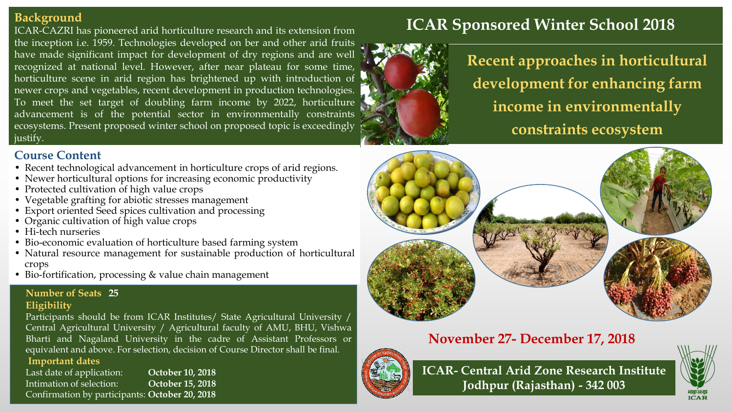### **Background**

ICAR-CAZRI has pioneered arid horticulture research and its extension from the inception i.e. 1959. Technologies developed on ber and other arid fruits have made significant impact for development of dry regions and are well recognized at national level. However, after near plateau for some time, horticulture scene in arid region has brightened up with introduction of newer crops and vegetables, recent development in production technologies. To meet the set target of doubling farm income by 2022, horticulture advancement is of the potential sector in environmentally constraints ecosystems. Present proposed winter school on proposed topic is exceedingly justify.

## **Course Content**

- Recent technological advancement in horticulture crops of arid regions.
- Newer horticultural options for increasing economic productivity
- Protected cultivation of high value crops
- Vegetable grafting for abiotic stresses management
- Export oriented Seed spices cultivation and processing
- Organic cultivation of high value crops
- Hi-tech nurseries
- Bio-economic evaluation of horticulture based farming system
- Natural resource management for sustainable production of horticultural crops
- Bio-fortification, processing & value chain management

# **Number of Seats 25**

#### **Eligibility**

Participants should be from ICAR Institutes/ State Agricultural University / Central Agricultural University / Agricultural faculty of AMU, BHU, Vishwa Bharti and Nagaland University in the cadre of Assistant Professors or equivalent and above. For selection, decision of Course Director shall be final. **Important dates**

Last date of application: **October 10, 2018** Intimation of selection: **October 15, 2018** Confirmation by participants: **October 20, 2018**



# **ICAR Sponsored Winter School 2018**

**Recent approaches in horticultural development for enhancing farm income in environmentally constraints ecosystem**



# **November 27- December 17, 2018**



**ICAR- Central Arid Zone Research Institute Jodhpur (Rajasthan) - 342 003**